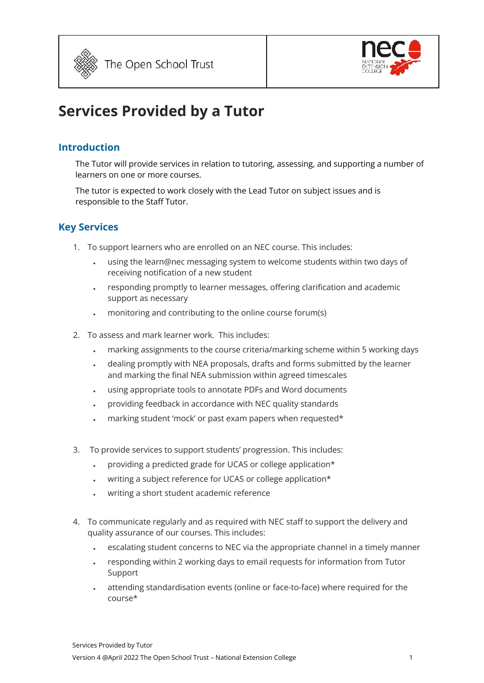



# **Services Provided by a Tutor**

## **Introduction**

The Tutor will provide services in relation to tutoring, assessing, and supporting a number of learners on one or more courses.

The tutor is expected to work closely with the Lead Tutor on subject issues and is responsible to the Staff Tutor.

## **Key Services**

- 1. To support learners who are enrolled on an NEC course. This includes:
	- using the learn@nec messaging system to welcome students within two days of receiving notification of a new student
	- responding promptly to learner messages, offering clarification and academic support as necessary
	- monitoring and contributing to the online course forum(s)
- 2. To assess and mark learner work. This includes:
	- marking assignments to the course criteria/marking scheme within 5 working days
	- dealing promptly with NEA proposals, drafts and forms submitted by the learner and marking the final NEA submission within agreed timescales
	- using appropriate tools to annotate PDFs and Word documents
	- providing feedback in accordance with NEC quality standards
	- marking student 'mock' or past exam papers when requested\*
- 3. To provide services to support students' progression. This includes:
	- providing a predicted grade for UCAS or college application\*
	- writing a subject reference for UCAS or college application\*
	- writing a short student academic reference
- 4. To communicate regularly and as required with NEC staff to support the delivery and quality assurance of our courses. This includes:
	- escalating student concerns to NEC via the appropriate channel in a timely manner
	- responding within 2 working days to email requests for information from Tutor Support
	- attending standardisation events (online or face-to-face) where required for the course\*